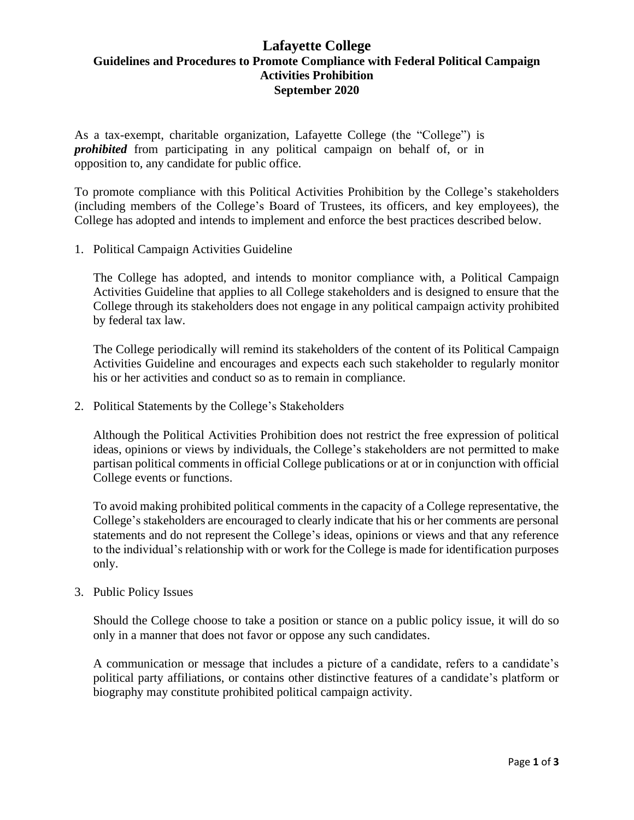## **Lafayette College Guidelines and Procedures to Promote Compliance with Federal Political Campaign Activities Prohibition September 2020**

As a tax-exempt, charitable organization, Lafayette College (the "College") is *prohibited* from participating in any political campaign on behalf of, or in opposition to, any candidate for public office.

To promote compliance with this Political Activities Prohibition by the College's stakeholders (including members of the College's Board of Trustees, its officers, and key employees), the College has adopted and intends to implement and enforce the best practices described below.

1. Political Campaign Activities Guideline

The College has adopted, and intends to monitor compliance with, a Political Campaign Activities Guideline that applies to all College stakeholders and is designed to ensure that the College through its stakeholders does not engage in any political campaign activity prohibited by federal tax law.

The College periodically will remind its stakeholders of the content of its Political Campaign Activities Guideline and encourages and expects each such stakeholder to regularly monitor his or her activities and conduct so as to remain in compliance.

2. Political Statements by the College's Stakeholders

Although the Political Activities Prohibition does not restrict the free expression of political ideas, opinions or views by individuals, the College's stakeholders are not permitted to make partisan political comments in official College publications or at or in conjunction with official College events or functions.

To avoid making prohibited political comments in the capacity of a College representative, the College's stakeholders are encouraged to clearly indicate that his or her comments are personal statements and do not represent the College's ideas, opinions or views and that any reference to the individual's relationship with or work for the College is made for identification purposes only.

## 3. Public Policy Issues

Should the College choose to take a position or stance on a public policy issue, it will do so only in a manner that does not favor or oppose any such candidates.

A communication or message that includes a picture of a candidate, refers to a candidate's political party affiliations, or contains other distinctive features of a candidate's platform or biography may constitute prohibited political campaign activity.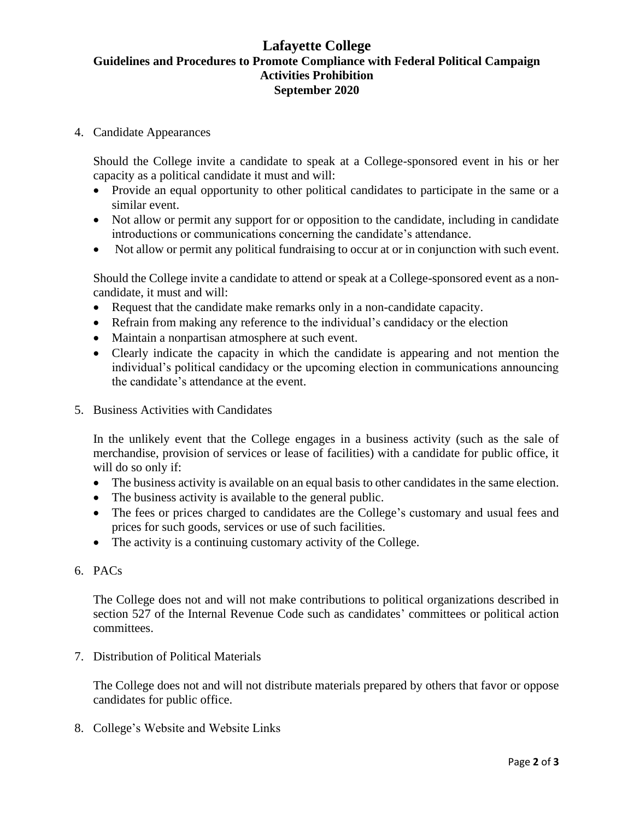## **Lafayette College Guidelines and Procedures to Promote Compliance with Federal Political Campaign Activities Prohibition September 2020**

4. Candidate Appearances

Should the College invite a candidate to speak at a College-sponsored event in his or her capacity as a political candidate it must and will:

- Provide an equal opportunity to other political candidates to participate in the same or a similar event.
- Not allow or permit any support for or opposition to the candidate, including in candidate introductions or communications concerning the candidate's attendance.
- Not allow or permit any political fundraising to occur at or in conjunction with such event.

Should the College invite a candidate to attend or speak at a College-sponsored event as a noncandidate, it must and will:

- Request that the candidate make remarks only in a non-candidate capacity.
- Refrain from making any reference to the individual's candidacy or the election
- Maintain a nonpartisan atmosphere at such event.
- Clearly indicate the capacity in which the candidate is appearing and not mention the individual's political candidacy or the upcoming election in communications announcing the candidate's attendance at the event.
- 5. Business Activities with Candidates

In the unlikely event that the College engages in a business activity (such as the sale of merchandise, provision of services or lease of facilities) with a candidate for public office, it will do so only if:

- The business activity is available on an equal basis to other candidates in the same election.
- The business activity is available to the general public.
- The fees or prices charged to candidates are the College's customary and usual fees and prices for such goods, services or use of such facilities.
- The activity is a continuing customary activity of the College.
- 6. PACs

The College does not and will not make contributions to political organizations described in section 527 of the Internal Revenue Code such as candidates' committees or political action committees.

7. Distribution of Political Materials

The College does not and will not distribute materials prepared by others that favor or oppose candidates for public office.

8. College's Website and Website Links